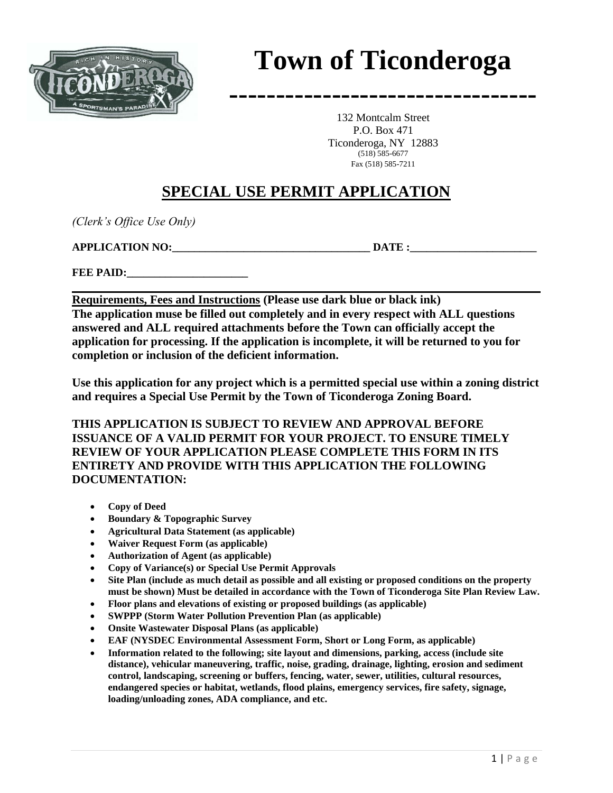

# **Town of Ticonderoga**

**---------------------------------**

132 Montcalm Street P.O. Box 471 Ticonderoga, NY 12883 (518) 585-6677 Fax (518) 585-7211

# **SPECIAL USE PERMIT APPLICATION**

*(Clerk's Office Use Only)*

**APPLICATION NO:**  DATE :

**FEE PAID:** 

**Requirements, Fees and Instructions (Please use dark blue or black ink) The application muse be filled out completely and in every respect with ALL questions answered and ALL required attachments before the Town can officially accept the application for processing. If the application is incomplete, it will be returned to you for completion or inclusion of the deficient information.**

**Use this application for any project which is a permitted special use within a zoning district and requires a Special Use Permit by the Town of Ticonderoga Zoning Board.**

**THIS APPLICATION IS SUBJECT TO REVIEW AND APPROVAL BEFORE ISSUANCE OF A VALID PERMIT FOR YOUR PROJECT. TO ENSURE TIMELY REVIEW OF YOUR APPLICATION PLEASE COMPLETE THIS FORM IN ITS ENTIRETY AND PROVIDE WITH THIS APPLICATION THE FOLLOWING DOCUMENTATION:**

- **Copy of Deed**
- **Boundary & Topographic Survey**
- **Agricultural Data Statement (as applicable)**
- **Waiver Request Form (as applicable)**
- **Authorization of Agent (as applicable)**
- **Copy of Variance(s) or Special Use Permit Approvals**
- **Site Plan (include as much detail as possible and all existing or proposed conditions on the property must be shown) Must be detailed in accordance with the Town of Ticonderoga Site Plan Review Law.**
- **Floor plans and elevations of existing or proposed buildings (as applicable)**
- **SWPPP (Storm Water Pollution Prevention Plan (as applicable)**
- **Onsite Wastewater Disposal Plans (as applicable)**
- **EAF (NYSDEC Environmental Assessment Form, Short or Long Form, as applicable)**
- **Information related to the following; site layout and dimensions, parking, access (include site distance), vehicular maneuvering, traffic, noise, grading, drainage, lighting, erosion and sediment control, landscaping, screening or buffers, fencing, water, sewer, utilities, cultural resources, endangered species or habitat, wetlands, flood plains, emergency services, fire safety, signage, loading/unloading zones, ADA compliance, and etc.**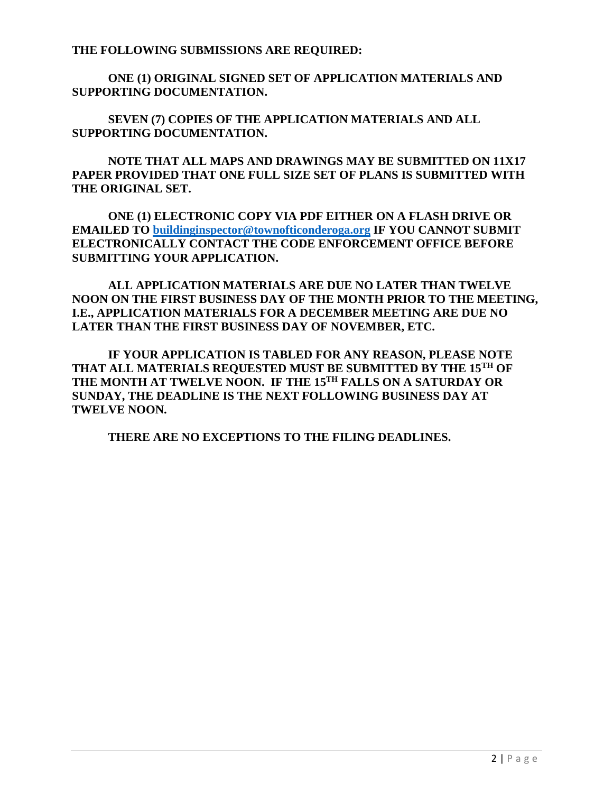**THE FOLLOWING SUBMISSIONS ARE REQUIRED:**

**ONE (1) ORIGINAL SIGNED SET OF APPLICATION MATERIALS AND SUPPORTING DOCUMENTATION.**

**SEVEN (7) COPIES OF THE APPLICATION MATERIALS AND ALL SUPPORTING DOCUMENTATION.**

**NOTE THAT ALL MAPS AND DRAWINGS MAY BE SUBMITTED ON 11X17 PAPER PROVIDED THAT ONE FULL SIZE SET OF PLANS IS SUBMITTED WITH THE ORIGINAL SET.**

**ONE (1) ELECTRONIC COPY VIA PDF EITHER ON A FLASH DRIVE OR EMAILED TO [buildinginspector@townofticonderoga.org](mailto:buildinginspector@townofticonderoga.org) IF YOU CANNOT SUBMIT ELECTRONICALLY CONTACT THE CODE ENFORCEMENT OFFICE BEFORE SUBMITTING YOUR APPLICATION.**

**ALL APPLICATION MATERIALS ARE DUE NO LATER THAN TWELVE NOON ON THE FIRST BUSINESS DAY OF THE MONTH PRIOR TO THE MEETING, I.E., APPLICATION MATERIALS FOR A DECEMBER MEETING ARE DUE NO LATER THAN THE FIRST BUSINESS DAY OF NOVEMBER, ETC.** 

**IF YOUR APPLICATION IS TABLED FOR ANY REASON, PLEASE NOTE THAT ALL MATERIALS REQUESTED MUST BE SUBMITTED BY THE 15TH OF THE MONTH AT TWELVE NOON. IF THE 15TH FALLS ON A SATURDAY OR SUNDAY, THE DEADLINE IS THE NEXT FOLLOWING BUSINESS DAY AT TWELVE NOON.**

**THERE ARE NO EXCEPTIONS TO THE FILING DEADLINES.**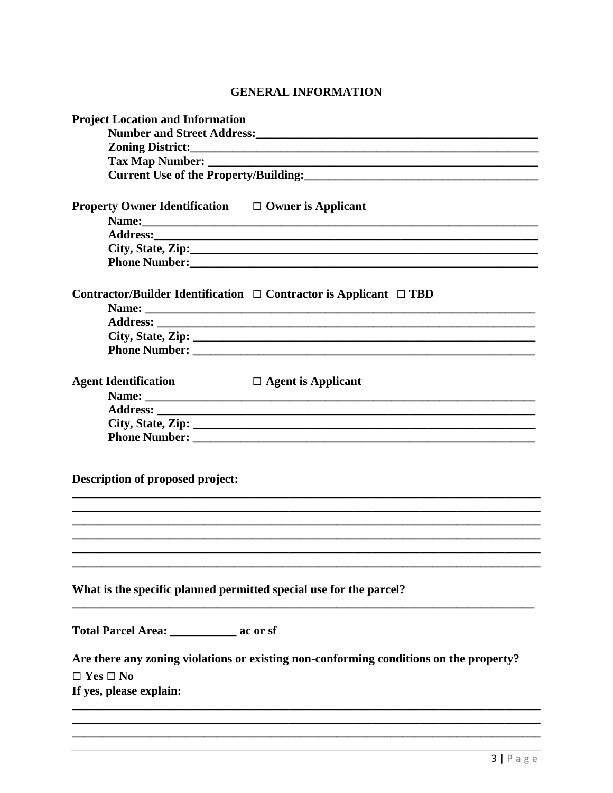## **GENERAL INFORMATION**

| <b>Project Location and Information</b>                                                |
|----------------------------------------------------------------------------------------|
|                                                                                        |
|                                                                                        |
|                                                                                        |
|                                                                                        |
| <b>Property Owner Identification</b> $\Box$ Owner is Applicant                         |
|                                                                                        |
|                                                                                        |
| City, State, Zip:                                                                      |
|                                                                                        |
| Contractor/Builder Identification $\Box$ Contractor is Applicant $\Box$ TBD            |
|                                                                                        |
|                                                                                        |
|                                                                                        |
| <b>Agent Identification</b><br>$\Box$ Agent is Applicant                               |
| Name:                                                                                  |
|                                                                                        |
|                                                                                        |
|                                                                                        |
| Description of proposed project:                                                       |
|                                                                                        |
| What is the specific planned permitted special use for the parcel?                     |
| Total Parcel Area: _____________ ac or sf                                              |
| Are there any zoning violations or existing non-conforming conditions on the property? |
| $\Box$ Yes $\Box$ No                                                                   |
| If yes, please explain:                                                                |
|                                                                                        |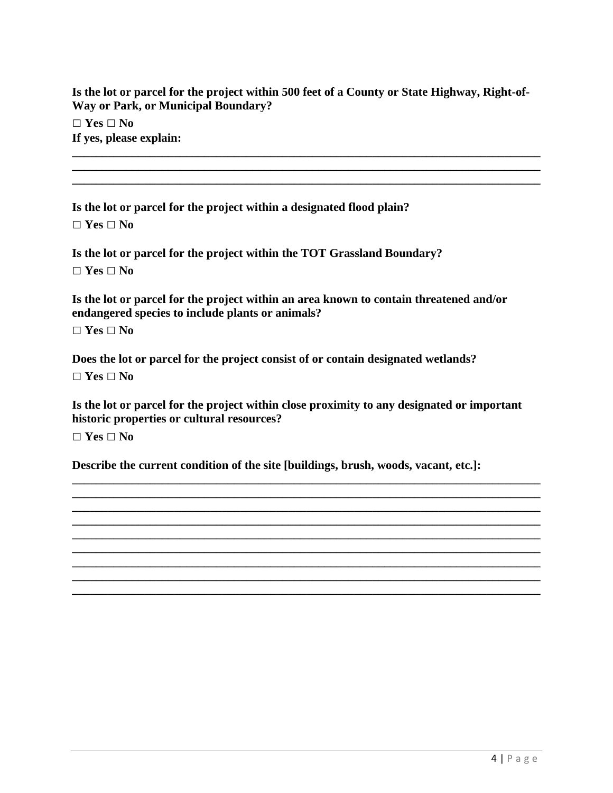**Is the lot or parcel for the project within 500 feet of a County or State Highway, Right-of-Way or Park, or Municipal Boundary?**

**\_\_\_\_\_\_\_\_\_\_\_\_\_\_\_\_\_\_\_\_\_\_\_\_\_\_\_\_\_\_\_\_\_\_\_\_\_\_\_\_\_\_\_\_\_\_\_\_\_\_\_\_\_\_\_\_\_\_\_\_\_\_\_\_\_\_\_\_\_\_\_\_\_\_\_\_\_\_ \_\_\_\_\_\_\_\_\_\_\_\_\_\_\_\_\_\_\_\_\_\_\_\_\_\_\_\_\_\_\_\_\_\_\_\_\_\_\_\_\_\_\_\_\_\_\_\_\_\_\_\_\_\_\_\_\_\_\_\_\_\_\_\_\_\_\_\_\_\_\_\_\_\_\_\_\_\_**

**\_\_\_\_\_\_\_\_\_\_\_\_\_\_\_\_\_\_\_\_\_\_\_\_\_\_\_\_\_\_\_\_\_\_\_\_\_\_\_\_\_\_\_\_\_\_\_\_\_\_\_\_\_\_\_\_\_\_\_\_\_\_\_\_\_\_\_\_\_\_\_\_\_\_\_\_\_\_**

**□ Yes □ No If yes, please explain:**

**Is the lot or parcel for the project within a designated flood plain? □ Yes □ No**

**Is the lot or parcel for the project within the TOT Grassland Boundary?**

**□ Yes □ No**

**Is the lot or parcel for the project within an area known to contain threatened and/or endangered species to include plants or animals?**

**□ Yes □ No**

**Does the lot or parcel for the project consist of or contain designated wetlands?**

**□ Yes □ No**

**Is the lot or parcel for the project within close proximity to any designated or important historic properties or cultural resources?**

**\_\_\_\_\_\_\_\_\_\_\_\_\_\_\_\_\_\_\_\_\_\_\_\_\_\_\_\_\_\_\_\_\_\_\_\_\_\_\_\_\_\_\_\_\_\_\_\_\_\_\_\_\_\_\_\_\_\_\_\_\_\_\_\_\_\_\_\_\_\_\_\_\_\_\_\_\_\_ \_\_\_\_\_\_\_\_\_\_\_\_\_\_\_\_\_\_\_\_\_\_\_\_\_\_\_\_\_\_\_\_\_\_\_\_\_\_\_\_\_\_\_\_\_\_\_\_\_\_\_\_\_\_\_\_\_\_\_\_\_\_\_\_\_\_\_\_\_\_\_\_\_\_\_\_\_\_ \_\_\_\_\_\_\_\_\_\_\_\_\_\_\_\_\_\_\_\_\_\_\_\_\_\_\_\_\_\_\_\_\_\_\_\_\_\_\_\_\_\_\_\_\_\_\_\_\_\_\_\_\_\_\_\_\_\_\_\_\_\_\_\_\_\_\_\_\_\_\_\_\_\_\_\_\_\_ \_\_\_\_\_\_\_\_\_\_\_\_\_\_\_\_\_\_\_\_\_\_\_\_\_\_\_\_\_\_\_\_\_\_\_\_\_\_\_\_\_\_\_\_\_\_\_\_\_\_\_\_\_\_\_\_\_\_\_\_\_\_\_\_\_\_\_\_\_\_\_\_\_\_\_\_\_\_ \_\_\_\_\_\_\_\_\_\_\_\_\_\_\_\_\_\_\_\_\_\_\_\_\_\_\_\_\_\_\_\_\_\_\_\_\_\_\_\_\_\_\_\_\_\_\_\_\_\_\_\_\_\_\_\_\_\_\_\_\_\_\_\_\_\_\_\_\_\_\_\_\_\_\_\_\_\_ \_\_\_\_\_\_\_\_\_\_\_\_\_\_\_\_\_\_\_\_\_\_\_\_\_\_\_\_\_\_\_\_\_\_\_\_\_\_\_\_\_\_\_\_\_\_\_\_\_\_\_\_\_\_\_\_\_\_\_\_\_\_\_\_\_\_\_\_\_\_\_\_\_\_\_\_\_\_ \_\_\_\_\_\_\_\_\_\_\_\_\_\_\_\_\_\_\_\_\_\_\_\_\_\_\_\_\_\_\_\_\_\_\_\_\_\_\_\_\_\_\_\_\_\_\_\_\_\_\_\_\_\_\_\_\_\_\_\_\_\_\_\_\_\_\_\_\_\_\_\_\_\_\_\_\_\_ \_\_\_\_\_\_\_\_\_\_\_\_\_\_\_\_\_\_\_\_\_\_\_\_\_\_\_\_\_\_\_\_\_\_\_\_\_\_\_\_\_\_\_\_\_\_\_\_\_\_\_\_\_\_\_\_\_\_\_\_\_\_\_\_\_\_\_\_\_\_\_\_\_\_\_\_\_\_ \_\_\_\_\_\_\_\_\_\_\_\_\_\_\_\_\_\_\_\_\_\_\_\_\_\_\_\_\_\_\_\_\_\_\_\_\_\_\_\_\_\_\_\_\_\_\_\_\_\_\_\_\_\_\_\_\_\_\_\_\_\_\_\_\_\_\_\_\_\_\_\_\_\_\_\_\_\_**

**□ Yes □ No**

**Describe the current condition of the site [buildings, brush, woods, vacant, etc.]:**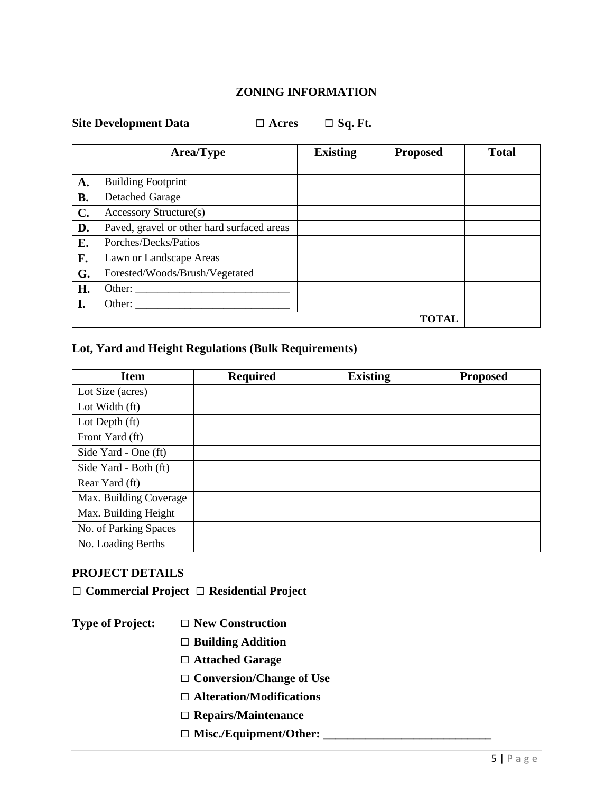#### **ZONING INFORMATION**

| <b>Site Development Data</b> |  |  |
|------------------------------|--|--|
|                              |  |  |

**Site Development Data □ Acres □ Sq. Ft.**

|                | <b>Area/Type</b>                           | <b>Existing</b> | <b>Proposed</b> | <b>Total</b> |
|----------------|--------------------------------------------|-----------------|-----------------|--------------|
|                |                                            |                 |                 |              |
| A.             | <b>Building Footprint</b>                  |                 |                 |              |
| <b>B.</b>      | <b>Detached Garage</b>                     |                 |                 |              |
| $\mathbf{C}$ . | Accessory Structure(s)                     |                 |                 |              |
| D.             | Paved, gravel or other hard surfaced areas |                 |                 |              |
| Е.             | Porches/Decks/Patios                       |                 |                 |              |
| F.             | Lawn or Landscape Areas                    |                 |                 |              |
| G.             | Forested/Woods/Brush/Vegetated             |                 |                 |              |
| H.             |                                            |                 |                 |              |
| I.             | Other:                                     |                 |                 |              |
|                |                                            |                 | <b>TOTAL</b>    |              |

# **Lot, Yard and Height Regulations (Bulk Requirements)**

| <b>Item</b>            | <b>Required</b> | <b>Existing</b> | <b>Proposed</b> |
|------------------------|-----------------|-----------------|-----------------|
| Lot Size (acres)       |                 |                 |                 |
| Lot Width (ft)         |                 |                 |                 |
| Lot Depth (ft)         |                 |                 |                 |
| Front Yard (ft)        |                 |                 |                 |
| Side Yard - One (ft)   |                 |                 |                 |
| Side Yard - Both (ft)  |                 |                 |                 |
| Rear Yard (ft)         |                 |                 |                 |
| Max. Building Coverage |                 |                 |                 |
| Max. Building Height   |                 |                 |                 |
| No. of Parking Spaces  |                 |                 |                 |
| No. Loading Berths     |                 |                 |                 |

#### **PROJECT DETAILS**

**□ Commercial Project □ Residential Project**

**Type of Project: □ New Construction**

- **□ Building Addition**
- **□ Attached Garage**
- **□ Conversion/Change of Use**
- **□ Alteration/Modifications**
- **□ Repairs/Maintenance**
- **□ Misc./Equipment/Other: \_\_\_\_\_\_\_\_\_\_\_\_\_\_\_\_\_\_\_\_\_\_\_\_\_\_\_\_**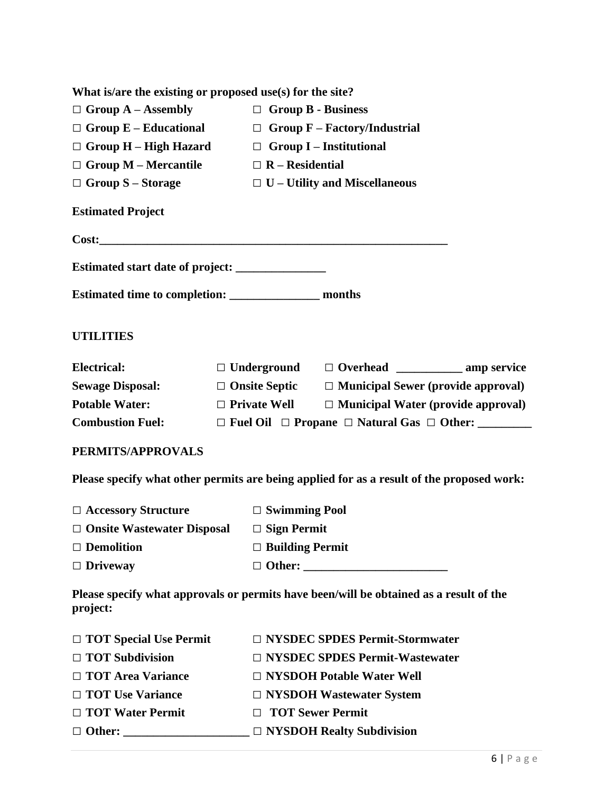| What is/are the existing or proposed use(s) for the site? |                                                                  |                                                                                           |  |  |
|-----------------------------------------------------------|------------------------------------------------------------------|-------------------------------------------------------------------------------------------|--|--|
| $\Box$ Group A – Assembly                                 | $\Box$ Group B - Business                                        |                                                                                           |  |  |
|                                                           | $\Box$ Group E – Educational $\Box$ Group F – Factory/Industrial |                                                                                           |  |  |
|                                                           |                                                                  | $\Box$ Group H – High Hazard $\Box$ Group I – Institutional                               |  |  |
| $\Box$ Group M – Mercantile $\Box$ R – Residential        |                                                                  |                                                                                           |  |  |
| $\Box$ Group S – Storage                                  |                                                                  | $\Box$ U – Utility and Miscellaneous                                                      |  |  |
| <b>Estimated Project</b>                                  |                                                                  |                                                                                           |  |  |
|                                                           |                                                                  |                                                                                           |  |  |
|                                                           |                                                                  |                                                                                           |  |  |
|                                                           |                                                                  |                                                                                           |  |  |
| <b>UTILITIES</b>                                          |                                                                  |                                                                                           |  |  |
| <b>Electrical:</b>                                        |                                                                  | □ Underground □ Overhead _____________ amp service                                        |  |  |
| <b>Sewage Disposal:</b>                                   |                                                                  | $\Box$ Onsite Septic $\Box$ Municipal Sewer (provide approval)                            |  |  |
| <b>Potable Water:</b>                                     | $\Box$ Private Well                                              | $\Box$ Municipal Water (provide approval)                                                 |  |  |
| <b>Combustion Fuel:</b>                                   | $\Box$ Fuel Oil $\Box$ Propane $\Box$ Natural Gas $\Box$ Other:  |                                                                                           |  |  |
| PERMITS/APPROVALS                                         |                                                                  |                                                                                           |  |  |
|                                                           |                                                                  | Please specify what other permits are being applied for as a result of the proposed work: |  |  |
| $\Box$ Accessory Structure                                | $\Box$ Swimming Pool                                             |                                                                                           |  |  |
| $\Box$ Onsite Wastewater Disposal $\Box$ Sign Permit      |                                                                  |                                                                                           |  |  |
| $\Box$ Demolition                                         | $\Box$ Building Permit                                           |                                                                                           |  |  |

**Please specify what approvals or permits have been/will be obtained as a result of the project:** 

| $\Box$ TOT Special Use Permit | $\Box$ NYSDEC SPDES Permit-Stormwater |
|-------------------------------|---------------------------------------|
| $\Box$ TOT Subdivision        | $\Box$ NYSDEC SPDES Permit-Wastewater |
| $\Box$ TOT Area Variance      | $\Box$ NYSDOH Potable Water Well      |
| □ TOT Use Variance            | $\Box$ NYSDOH Wastewater System       |
| $\Box$ TOT Water Permit       | □ TOT Sewer Permit                    |
| $\Box$ Other:                 | $\Box$ NYSDOH Realty Subdivision      |

**□ Driveway □ Other: \_\_\_\_\_\_\_\_\_\_\_\_\_\_\_\_\_\_\_\_\_\_\_\_**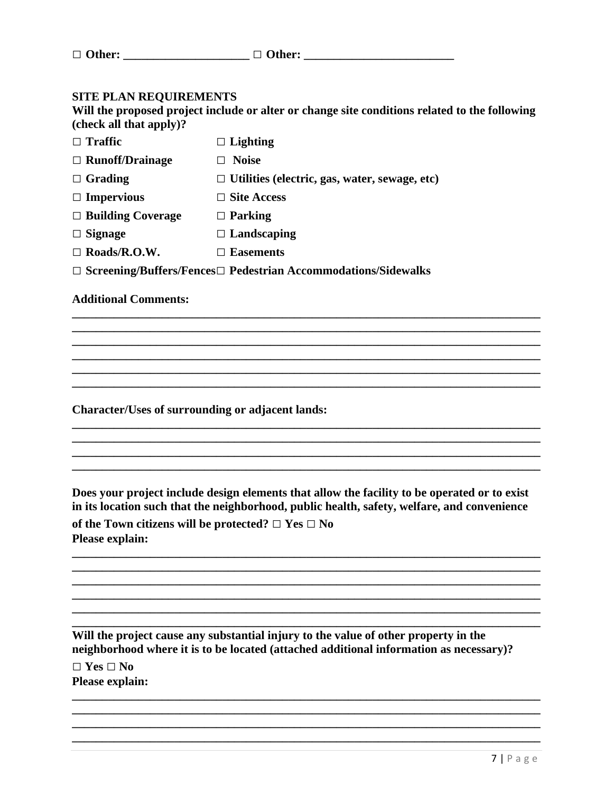| $\Box$ Other: | $\Box$ Other: |
|---------------|---------------|
|               |               |

#### **SITE PLAN REQUIREMENTS**

**Will the proposed project include or alter or change site conditions related to the following (check all that apply)?**

**\_\_\_\_\_\_\_\_\_\_\_\_\_\_\_\_\_\_\_\_\_\_\_\_\_\_\_\_\_\_\_\_\_\_\_\_\_\_\_\_\_\_\_\_\_\_\_\_\_\_\_\_\_\_\_\_\_\_\_\_\_\_\_\_\_\_\_\_\_\_\_\_\_\_\_\_\_\_ \_\_\_\_\_\_\_\_\_\_\_\_\_\_\_\_\_\_\_\_\_\_\_\_\_\_\_\_\_\_\_\_\_\_\_\_\_\_\_\_\_\_\_\_\_\_\_\_\_\_\_\_\_\_\_\_\_\_\_\_\_\_\_\_\_\_\_\_\_\_\_\_\_\_\_\_\_\_ \_\_\_\_\_\_\_\_\_\_\_\_\_\_\_\_\_\_\_\_\_\_\_\_\_\_\_\_\_\_\_\_\_\_\_\_\_\_\_\_\_\_\_\_\_\_\_\_\_\_\_\_\_\_\_\_\_\_\_\_\_\_\_\_\_\_\_\_\_\_\_\_\_\_\_\_\_\_ \_\_\_\_\_\_\_\_\_\_\_\_\_\_\_\_\_\_\_\_\_\_\_\_\_\_\_\_\_\_\_\_\_\_\_\_\_\_\_\_\_\_\_\_\_\_\_\_\_\_\_\_\_\_\_\_\_\_\_\_\_\_\_\_\_\_\_\_\_\_\_\_\_\_\_\_\_\_ \_\_\_\_\_\_\_\_\_\_\_\_\_\_\_\_\_\_\_\_\_\_\_\_\_\_\_\_\_\_\_\_\_\_\_\_\_\_\_\_\_\_\_\_\_\_\_\_\_\_\_\_\_\_\_\_\_\_\_\_\_\_\_\_\_\_\_\_\_\_\_\_\_\_\_\_\_\_ \_\_\_\_\_\_\_\_\_\_\_\_\_\_\_\_\_\_\_\_\_\_\_\_\_\_\_\_\_\_\_\_\_\_\_\_\_\_\_\_\_\_\_\_\_\_\_\_\_\_\_\_\_\_\_\_\_\_\_\_\_\_\_\_\_\_\_\_\_\_\_\_\_\_\_\_\_\_**

**\_\_\_\_\_\_\_\_\_\_\_\_\_\_\_\_\_\_\_\_\_\_\_\_\_\_\_\_\_\_\_\_\_\_\_\_\_\_\_\_\_\_\_\_\_\_\_\_\_\_\_\_\_\_\_\_\_\_\_\_\_\_\_\_\_\_\_\_\_\_\_\_\_\_\_\_\_\_ \_\_\_\_\_\_\_\_\_\_\_\_\_\_\_\_\_\_\_\_\_\_\_\_\_\_\_\_\_\_\_\_\_\_\_\_\_\_\_\_\_\_\_\_\_\_\_\_\_\_\_\_\_\_\_\_\_\_\_\_\_\_\_\_\_\_\_\_\_\_\_\_\_\_\_\_\_\_ \_\_\_\_\_\_\_\_\_\_\_\_\_\_\_\_\_\_\_\_\_\_\_\_\_\_\_\_\_\_\_\_\_\_\_\_\_\_\_\_\_\_\_\_\_\_\_\_\_\_\_\_\_\_\_\_\_\_\_\_\_\_\_\_\_\_\_\_\_\_\_\_\_\_\_\_\_\_ \_\_\_\_\_\_\_\_\_\_\_\_\_\_\_\_\_\_\_\_\_\_\_\_\_\_\_\_\_\_\_\_\_\_\_\_\_\_\_\_\_\_\_\_\_\_\_\_\_\_\_\_\_\_\_\_\_\_\_\_\_\_\_\_\_\_\_\_\_\_\_\_\_\_\_\_\_\_**

| $\Box$ Traffic           | $\Box$ Lighting                                      |
|--------------------------|------------------------------------------------------|
| $\Box$ Runoff/Drainage   | <b>Noise</b>                                         |
| $\Box$ Grading           | $\Box$ Utilities (electric, gas, water, sewage, etc) |
| $\Box$ Impervious        | $\Box$ Site Access                                   |
| $\Box$ Building Coverage | $\Box$ Parking                                       |
| $\Box$ Signage           | $\Box$ Landscaping                                   |
| $\Box$ Roads/R.O.W.      | <b>Easements</b>                                     |
|                          |                                                      |

**□ Screening/Buffers/Fences□ Pedestrian Accommodations/Sidewalks**

#### **Additional Comments:**

**Character/Uses of surrounding or adjacent lands:**

**Does your project include design elements that allow the facility to be operated or to exist in its location such that the neighborhood, public health, safety, welfare, and convenience of the Town citizens will be protected? □ Yes □ No Please explain:**

**\_\_\_\_\_\_\_\_\_\_\_\_\_\_\_\_\_\_\_\_\_\_\_\_\_\_\_\_\_\_\_\_\_\_\_\_\_\_\_\_\_\_\_\_\_\_\_\_\_\_\_\_\_\_\_\_\_\_\_\_\_\_\_\_\_\_\_\_\_\_\_\_\_\_\_\_\_\_ \_\_\_\_\_\_\_\_\_\_\_\_\_\_\_\_\_\_\_\_\_\_\_\_\_\_\_\_\_\_\_\_\_\_\_\_\_\_\_\_\_\_\_\_\_\_\_\_\_\_\_\_\_\_\_\_\_\_\_\_\_\_\_\_\_\_\_\_\_\_\_\_\_\_\_\_\_\_ \_\_\_\_\_\_\_\_\_\_\_\_\_\_\_\_\_\_\_\_\_\_\_\_\_\_\_\_\_\_\_\_\_\_\_\_\_\_\_\_\_\_\_\_\_\_\_\_\_\_\_\_\_\_\_\_\_\_\_\_\_\_\_\_\_\_\_\_\_\_\_\_\_\_\_\_\_\_ \_\_\_\_\_\_\_\_\_\_\_\_\_\_\_\_\_\_\_\_\_\_\_\_\_\_\_\_\_\_\_\_\_\_\_\_\_\_\_\_\_\_\_\_\_\_\_\_\_\_\_\_\_\_\_\_\_\_\_\_\_\_\_\_\_\_\_\_\_\_\_\_\_\_\_\_\_\_**

**\_\_\_\_\_\_\_\_\_\_\_\_\_\_\_\_\_\_\_\_\_\_\_\_\_\_\_\_\_\_\_\_\_\_\_\_\_\_\_\_\_\_\_\_\_\_\_\_\_\_\_\_\_\_\_\_\_\_\_\_\_\_\_\_\_\_\_\_\_\_\_\_\_\_\_\_\_\_**

**\_\_\_\_\_\_\_\_\_\_\_\_\_\_\_\_\_\_\_\_\_\_\_\_\_\_\_\_\_\_\_\_\_\_\_\_\_\_\_\_\_\_\_\_\_\_\_\_\_\_\_\_\_\_\_\_\_\_\_\_\_\_\_\_\_\_\_\_\_\_\_\_\_\_\_\_\_\_ \_\_\_\_\_\_\_\_\_\_\_\_\_\_\_\_\_\_\_\_\_\_\_\_\_\_\_\_\_\_\_\_\_\_\_\_\_\_\_\_\_\_\_\_\_\_\_\_\_\_\_\_\_\_\_\_\_\_\_\_\_\_\_\_\_\_\_\_\_\_\_\_\_\_\_\_\_\_ \_\_\_\_\_\_\_\_\_\_\_\_\_\_\_\_\_\_\_\_\_\_\_\_\_\_\_\_\_\_\_\_\_\_\_\_\_\_\_\_\_\_\_\_\_\_\_\_\_\_\_\_\_\_\_\_\_\_\_\_\_\_\_\_\_\_\_\_\_\_\_\_\_\_\_\_\_\_ \_\_\_\_\_\_\_\_\_\_\_\_\_\_\_\_\_\_\_\_\_\_\_\_\_\_\_\_\_\_\_\_\_\_\_\_\_\_\_\_\_\_\_\_\_\_\_\_\_\_\_\_\_\_\_\_\_\_\_\_\_\_\_\_\_\_\_\_\_\_\_\_\_\_\_\_\_\_**

**Will the project cause any substantial injury to the value of other property in the neighborhood where it is to be located (attached additional information as necessary)?**

**□ Yes □ No Please explain:**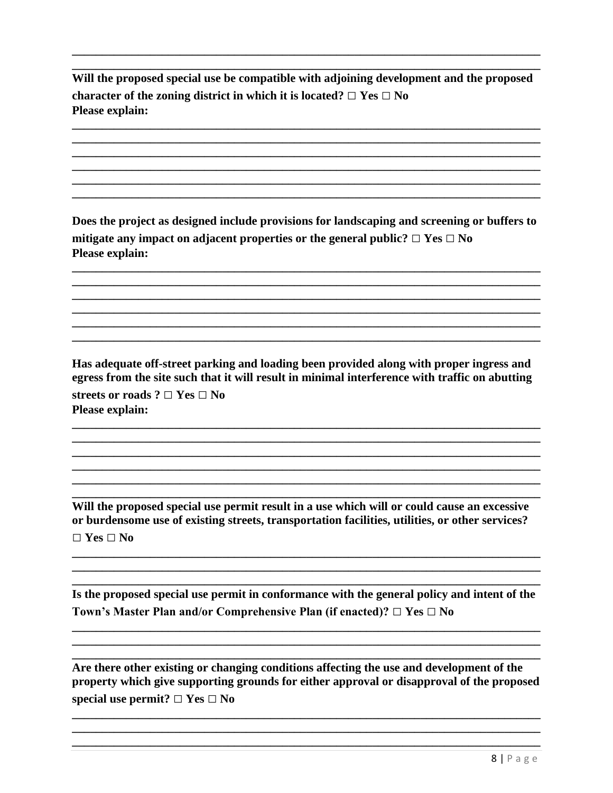Will the proposed special use be compatible with adjoining development and the proposed character of the zoning district in which it is located?  $\Box$  Yes  $\Box$  No **Please explain:** 

Does the project as designed include provisions for landscaping and screening or buffers to mitigate any impact on adjacent properties or the general public?  $\Box$  Yes  $\Box$  No Please explain:

Has adequate off-street parking and loading been provided along with proper ingress and egress from the site such that it will result in minimal interference with traffic on abutting streets or roads ?  $\Box$  Yes  $\Box$  No **Please explain:** 

Will the proposed special use permit result in a use which will or could cause an excessive or burdensome use of existing streets, transportation facilities, utilities, or other services?  $\Box$  Yes  $\Box$  No

Is the proposed special use permit in conformance with the general policy and intent of the Town's Master Plan and/or Comprehensive Plan (if enacted)?  $\Box$  Yes  $\Box$  No

Are there other existing or changing conditions affecting the use and development of the property which give supporting grounds for either approval or disapproval of the proposed special use permit?  $\Box$  Yes  $\Box$  No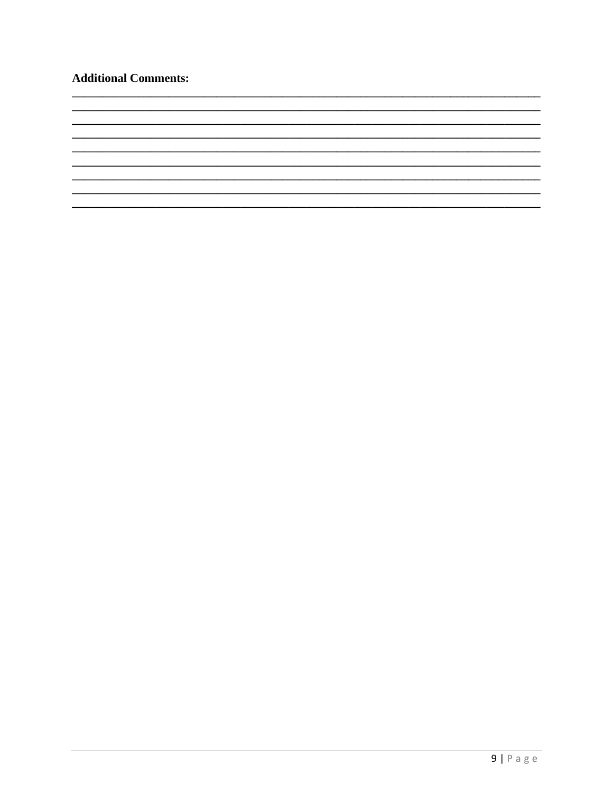## **Additional Comments:**